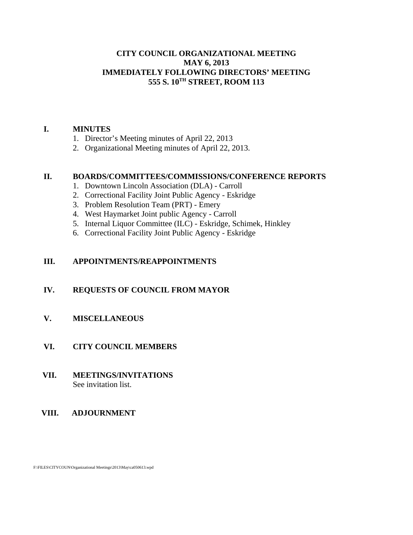### **CITY COUNCIL ORGANIZATIONAL MEETING MAY 6, 2013 IMMEDIATELY FOLLOWING DIRECTORS' MEETING 555 S. 10TH STREET, ROOM 113**

#### **I. MINUTES**

- 1. Director's Meeting minutes of April 22, 2013
- 2. Organizational Meeting minutes of April 22, 2013.

#### **II. BOARDS/COMMITTEES/COMMISSIONS/CONFERENCE REPORTS**

- 1. Downtown Lincoln Association (DLA) Carroll
- 2. Correctional Facility Joint Public Agency Eskridge
- 3. Problem Resolution Team (PRT) Emery
- 4. West Haymarket Joint public Agency Carroll
- 5. Internal Liquor Committee (ILC) Eskridge, Schimek, Hinkley
- 6. Correctional Facility Joint Public Agency Eskridge

#### **III. APPOINTMENTS/REAPPOINTMENTS**

#### **IV. REQUESTS OF COUNCIL FROM MAYOR**

#### **V. MISCELLANEOUS**

### **VI. CITY COUNCIL MEMBERS**

#### **VII. MEETINGS/INVITATIONS** See invitation list.

#### **VIII. ADJOURNMENT**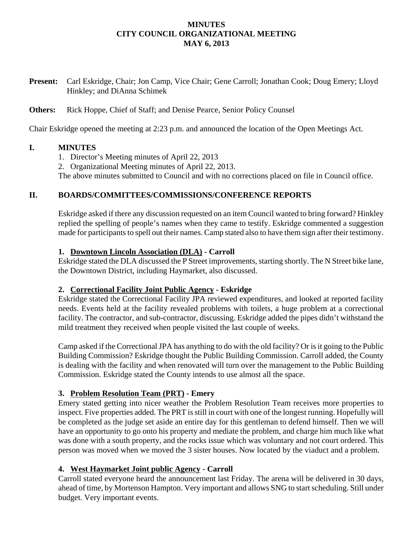## **MINUTES CITY COUNCIL ORGANIZATIONAL MEETING MAY 6, 2013**

**Present:** Carl Eskridge, Chair; Jon Camp, Vice Chair; Gene Carroll; Jonathan Cook; Doug Emery; Lloyd Hinkley; and DiAnna Schimek

## **Others:** Rick Hoppe, Chief of Staff; and Denise Pearce, Senior Policy Counsel

Chair Eskridge opened the meeting at 2:23 p.m. and announced the location of the Open Meetings Act.

#### **I. MINUTES**

- 1. Director's Meeting minutes of April 22, 2013
- 2. Organizational Meeting minutes of April 22, 2013.

The above minutes submitted to Council and with no corrections placed on file in Council office.

## **II. BOARDS/COMMITTEES/COMMISSIONS/CONFERENCE REPORTS**

Eskridge asked if there any discussion requested on an item Council wanted to bring forward? Hinkley replied the spelling of people's names when they came to testify. Eskridge commented a suggestion made for participants to spell out their names. Camp stated also to have them sign after their testimony.

### **1. Downtown Lincoln Association (DLA) - Carroll**

Eskridge stated the DLA discussed the P Street improvements, starting shortly. The N Street bike lane, the Downtown District, including Haymarket, also discussed.

#### **2. Correctional Facility Joint Public Agency - Eskridge**

Eskridge stated the Correctional Facility JPA reviewed expenditures, and looked at reported facility needs. Events held at the facility revealed problems with toilets, a huge problem at a correctional facility. The contractor, and sub-contractor, discussing. Eskridge added the pipes didn't withstand the mild treatment they received when people visited the last couple of weeks.

Camp asked if the Correctional JPA has anything to do with the old facility? Or is it going to the Public Building Commission? Eskridge thought the Public Building Commission. Carroll added, the County is dealing with the facility and when renovated will turn over the management to the Public Building Commission. Eskridge stated the County intends to use almost all the space.

## **3. Problem Resolution Team (PRT) - Emery**

Emery stated getting into nicer weather the Problem Resolution Team receives more properties to inspect. Five properties added. The PRT is still in court with one of the longest running. Hopefully will be completed as the judge set aside an entire day for this gentleman to defend himself. Then we will have an opportunity to go onto his property and mediate the problem, and charge him much like what was done with a south property, and the rocks issue which was voluntary and not court ordered. This person was moved when we moved the 3 sister houses. Now located by the viaduct and a problem.

## **4. West Haymarket Joint public Agency - Carroll**

Carroll stated everyone heard the announcement last Friday. The arena will be delivered in 30 days, ahead of time, by Mortenson Hampton. Very important and allows SNG to start scheduling. Still under budget. Very important events.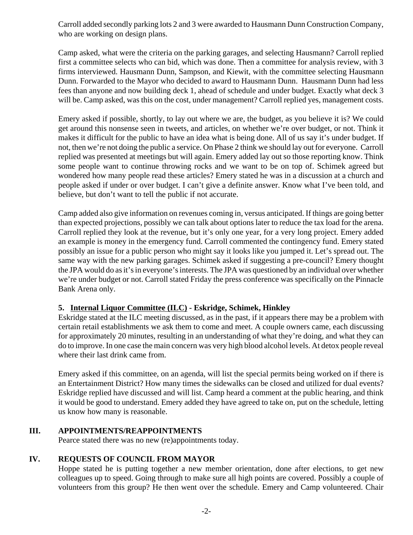Carroll added secondly parking lots 2 and 3 were awarded to Hausmann Dunn Construction Company, who are working on design plans.

Camp asked, what were the criteria on the parking garages, and selecting Hausmann? Carroll replied first a committee selects who can bid, which was done. Then a committee for analysis review, with 3 firms interviewed. Hausmann Dunn, Sampson, and Kiewit, with the committee selecting Hausmann Dunn. Forwarded to the Mayor who decided to award to Hausmann Dunn. Hausmann Dunn had less fees than anyone and now building deck 1, ahead of schedule and under budget. Exactly what deck 3 will be. Camp asked, was this on the cost, under management? Carroll replied yes, management costs.

Emery asked if possible, shortly, to lay out where we are, the budget, as you believe it is? We could get around this nonsense seen in tweets, and articles, on whether we're over budget, or not. Think it makes it difficult for the public to have an idea what is being done. All of us say it's under budget. If not, then we're not doing the public a service. On Phase 2 think we should lay out for everyone. Carroll replied was presented at meetings but will again. Emery added lay out so those reporting know. Think some people want to continue throwing rocks and we want to be on top of. Schimek agreed but wondered how many people read these articles? Emery stated he was in a discussion at a church and people asked if under or over budget. I can't give a definite answer. Know what I've been told, and believe, but don't want to tell the public if not accurate.

Camp added also give information on revenues coming in, versus anticipated. If things are going better than expected projections, possibly we can talk about options later to reduce the tax load for the arena. Carroll replied they look at the revenue, but it's only one year, for a very long project. Emery added an example is money in the emergency fund. Carroll commented the contingency fund. Emery stated possibly an issue for a public person who might say it looks like you jumped it. Let's spread out. The same way with the new parking garages. Schimek asked if suggesting a pre-council? Emery thought the JPA would do as it's in everyone's interests. The JPA was questioned by an individual over whether we're under budget or not. Carroll stated Friday the press conference was specifically on the Pinnacle Bank Arena only.

## **5. Internal Liquor Committee (ILC) - Eskridge, Schimek, Hinkley**

Eskridge stated at the ILC meeting discussed, as in the past, if it appears there may be a problem with certain retail establishments we ask them to come and meet. A couple owners came, each discussing for approximately 20 minutes, resulting in an understanding of what they're doing, and what they can do to improve. In one case the main concern was very high blood alcohol levels. At detox people reveal where their last drink came from.

Emery asked if this committee, on an agenda, will list the special permits being worked on if there is an Entertainment District? How many times the sidewalks can be closed and utilized for dual events? Eskridge replied have discussed and will list. Camp heard a comment at the public hearing, and think it would be good to understand. Emery added they have agreed to take on, put on the schedule, letting us know how many is reasonable.

## **III. APPOINTMENTS/REAPPOINTMENTS**

Pearce stated there was no new (re)appointments today.

## **IV. REQUESTS OF COUNCIL FROM MAYOR**

Hoppe stated he is putting together a new member orientation, done after elections, to get new colleagues up to speed. Going through to make sure all high points are covered. Possibly a couple of volunteers from this group? He then went over the schedule. Emery and Camp volunteered. Chair